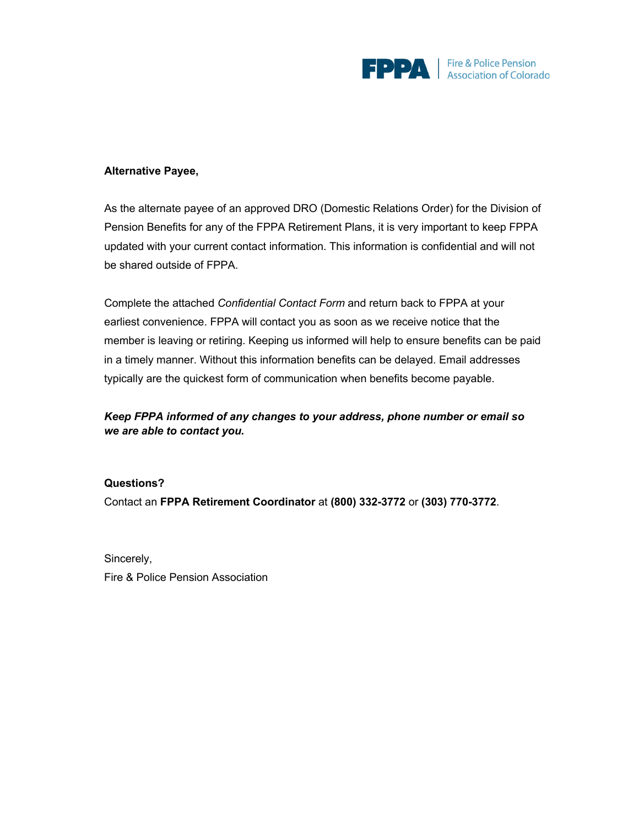

### **Alternative Payee,**

As the alternate payee of an approved DRO (Domestic Relations Order) for the Division of Pension Benefits for any of the FPPA Retirement Plans, it is very important to keep FPPA updated with your current contact information. This information is confidential and will not be shared outside of FPPA.

Complete the attached *Confidential Contact Form* and return back to FPPA at your earliest convenience. FPPA will contact you as soon as we receive notice that the member is leaving or retiring. Keeping us informed will help to ensure benefits can be paid in a timely manner. Without this information benefits can be delayed. Email addresses typically are the quickest form of communication when benefits become payable.

## *Keep FPPA informed of any changes to your address, phone number or email so we are able to contact you.*

#### **Questions?**

Contact an **FPPA Retirement Coordinator** at **(800) 332-3772** or **(303) 770-3772**.

Sincerely, Fire & Police Pension Association